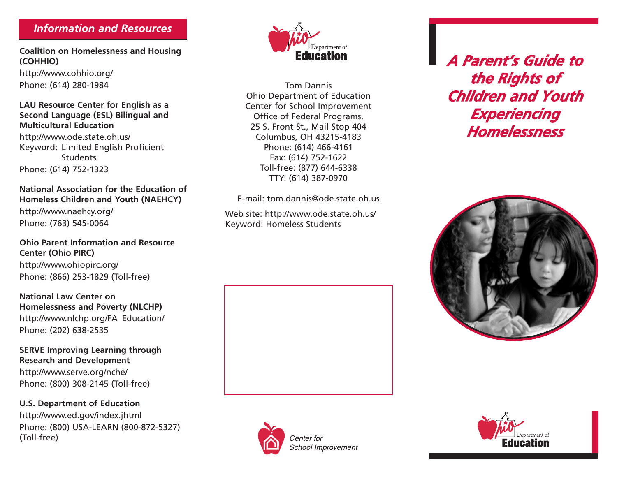### *Information and Resources*

**Coalition on Homelessness and Housing (COHHIO)**

http://www.cohhio.org/ Phone: (614) 280-1984

#### **LAU Resource Center for English as a Second Language (ESL) Bilingual and Multicultural Education**

http://www.ode.state.oh.us/ Keyword: Limited English Proficient **Students** Phone: (614) 752-1323

**National Association for the Education of Homeless Children and Youth (NAEHCY)** http://www.naehcy.org/ Phone: (763) 545-0064

**Ohio Parent Information and Resource Center (Ohio PIRC)** http://www.ohiopirc.org/

Phone: (866) 253-1829 (Toll-free)

**National Law Center on Homelessness and Poverty (NLCHP)** http://www.nlchp.org/FA\_Education/ Phone: (202) 638-2535

#### **SERVE Improving Learning through Research and Development**

http://www.serve.org/nche/ Phone: (800) 308-2145 (Toll-free)

**U.S. Department of Education** http://www.ed.gov/index.jhtml Phone: (800) USA-LEARN (800-872-5327) (Toll-free)



Tom Dannis Ohio Department of Education Center for School Improvement Office of Federal Programs, 25 S. Front St., Mail Stop 404 Columbus, OH 43215-4183 Phone: (614) 466-4161 Fax: (614) 752-1622 Toll-free: (877) 644-6338 TTY: (614) 387-0970

E-mail: tom.dannis@ode.state.oh.us

Web site: http://www.ode.state.oh.us/ Keyword: Homeless Students







*A Parent's Guide to the Rights of Children and Youth Experiencing Homelessness*